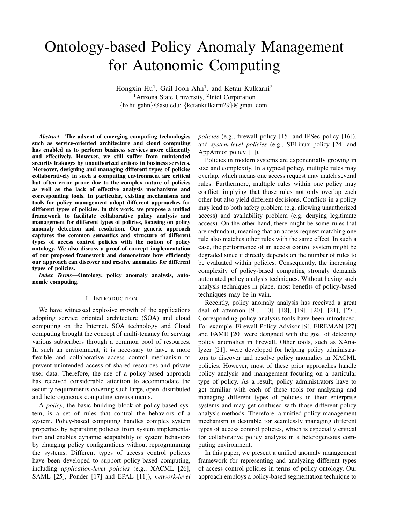# Ontology-based Policy Anomaly Management for Autonomic Computing

Hongxin Hu<sup>1</sup>, Gail-Joon Ahn<sup>1</sup>, and Ketan Kulkarni<sup>2</sup> <sup>1</sup> Arizona State University, <sup>2</sup>Intel Corporation *{*hxhu,gahn*}*@asu.edu; *{*ketankulkarni29*}*@gmail.com

*Abstract*—The advent of emerging computing technologies such as service-oriented architecture and cloud computing has enabled us to perform business services more efficiently and effectively. However, we still suffer from unintended security leakages by unauthorized actions in business services. Moreover, designing and managing different types of policies collaboratively in such a computing environment are critical but often error prone due to the complex nature of policies as well as the lack of effective analysis mechanisms and corresponding tools. In particular, existing mechanisms and tools for policy management adopt different approaches for different types of policies. In this work, we propose a unified framework to facilitate collaborative policy analysis and management for different types of policies, focusing on policy anomaly detection and resolution. Our generic approach captures the common semantics and structure of different types of access control policies with the notion of policy ontology. We also discuss a proof-of-concept implementation of our proposed framework and demonstrate how efficiently our approach can discover and resolve anomalies for different types of policies.

*Index Terms*—Ontology, policy anomaly analysis, autonomic computing.

#### I. INTRODUCTION

We have witnessed explosive growth of the applications adopting service oriented architecture (SOA) and cloud computing on the Internet. SOA technology and Cloud computing brought the concept of multi-tenancy for serving various subscribers through a common pool of resources. In such an environment, it is necessary to have a more flexible and collaborative access control mechanism to prevent unintended access of shared resources and private user data. Therefore, the use of a policy-based approach has received considerable attention to accommodate the security requirements covering such large, open, distributed and heterogeneous computing environments.

A *policy*, the basic building block of policy-based system, is a set of rules that control the behaviors of a system. Policy-based computing handles complex system properties by separating policies from system implementation and enables dynamic adaptability of system behaviors by changing policy configurations without reprogramming the systems. Different types of access control policies have been developed to support policy-based computing, including *application-level policies* (e.g., XACML [26], SAML [25], Ponder [17] and EPAL [11]), *network-level* *policies* (e.g., firewall policy [15] and IPSec policy [16]), and *system-level policies* (e.g., SELinux policy [24] and AppArmor policy [1]).

Policies in modern systems are exponentially growing in size and complexity. In a typical policy, multiple rules may overlap, which means one access request may match several rules. Furthermore, multiple rules within one policy may conflict, implying that those rules not only overlap each other but also yield different decisions. Conflicts in a policy may lead to both safety problem (e.g. allowing unauthorized access) and availability problem (e.g. denying legitimate access). On the other hand, there might be some rules that are redundant, meaning that an access request matching one rule also matches other rules with the same effect. In such a case, the performance of an access control system might be degraded since it directly depends on the number of rules to be evaluated within policies. Consequently, the increasing complexity of policy-based computing strongly demands automated policy analysis techniques. Without having such analysis techniques in place, most benefits of policy-based techniques may be in vain.

Recently, policy anomaly analysis has received a great deal of attention [9], [10], [18], [19], [20], [21], [27]. Corresponding policy analysis tools have been introduced. For example, Firewall Policy Advisor [9], FIREMAN [27] and FAME [20] were designed with the goal of detecting policy anomalies in firewall. Other tools, such as XAnalyzer [21], were developed for helping policy administrators to discover and resolve policy anomalies in XACML policies. However, most of these prior approaches handle policy analysis and management focusing on a particular type of policy. As a result, policy administrators have to get familiar with each of these tools for analyzing and managing different types of policies in their enterprise systems and may get confused with those different policy analysis methods. Therefore, a unified policy management mechanism is desirable for seamlessly managing different types of access control policies, which is especially critical for collaborative policy analysis in a heterogeneous computing environment.

In this paper, we present a unified anomaly management framework for representing and analyzing different types of access control policies in terms of policy ontology. Our approach employs a policy-based segmentation technique to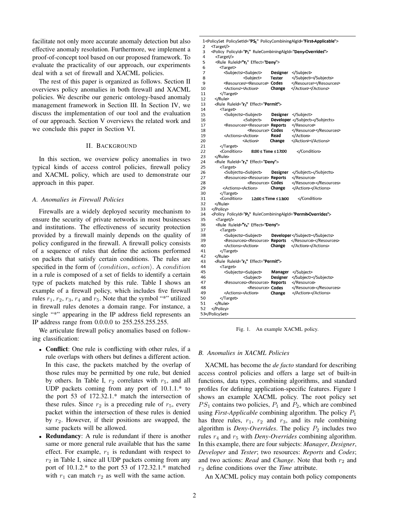facilitate not only more accurate anomaly detection but also effective anomaly resolution. Furthermore, we implement a proof-of-concept tool based on our proposed framework. To evaluate the practicality of our approach, our experiments deal with a set of firewall and XACML policies.

The rest of this paper is organized as follows. Section II overviews policy anomalies in both firewall and XACML policies. We describe our generic ontology-based anomaly management framework in Section III. In Section IV, we discuss the implementation of our tool and the evaluation of our approach. Section V overviews the related work and we conclude this paper in Section VI.

# II. BACKGROUND

In this section, we overview policy anomalies in two typical kinds of access control policies, firewall policy and XACML policy, which are used to demonstrate our approach in this paper.

# *A. Anomalies in Firewall Policies*

Firewalls are a widely deployed security mechanism to ensure the security of private networks in most businesses and institutions. The effectiveness of security protection provided by a firewall mainly depends on the quality of policy configured in the firewall. A firewall policy consists of a sequence of rules that define the actions performed on packets that satisfy certain conditions. The rules are specified in the form of *⟨condition*, *action⟩*. A *condition* in a rule is composed of a set of fields to identify a certain type of packets matched by this rule. Table I shows an example of a firewall policy, which includes five firewall rules  $r_1$ ,  $r_2$ ,  $r_3$ ,  $r_4$  and  $r_5$ . Note that the symbol "\*" utilized in firewall rules denotes a domain range. For instance, a single "\*" appearing in the IP address field represents an IP address range from 0.0.0.0 to 255.255.255.255.

We articulate firewall policy anomalies based on following classification:

- **Conflict**: One rule is conflicting with other rules, if a rule overlaps with others but defines a different action. In this case, the packets matched by the overlap of those rules may be permitted by one rule, but denied by others. In Table I,  $r_2$  correlates with  $r_5$ , and all UDP packets coming from any port of 10.1.1.\* to the port 53 of 172.32.1.\* match the intersection of these rules. Since  $r_2$  is a preceding rule of  $r_5$ , every packet within the intersection of these rules is denied by *r*2. However, if their positions are swapped, the same packets will be allowed.
- *•* Redundancy: A rule is redundant if there is another same or more general rule available that has the same effect. For example,  $r_1$  is redundant with respect to *r*<sup>2</sup> in Table I, since all UDP packets coming from any port of 10.1.2.\* to the port 53 of 172.32.1.\* matched with  $r_1$  can match  $r_2$  as well with the same action.

```
1<PolicySet PolicySetId="PS1" PolicyCombiningAlgId="First-Applicable">
 \overline{2}<Target/>
 3
      <Policy PolicyId="P1" RuleCombiningAlgId="Deny-Overrides">
 \overline{4}<Target/>
 5
        <Rule RuleId="r<sub>1</sub>" Effect="Deny'>
 \frac{6}{7}<Target>
            <Subjects><Subject>
                                     Designer
                                                </Subject>
 8
                      <Subject>
                                     Tester
                                                </Subject></Subjects>
 \mathbf{Q}<Resources><Resource>
                                     Codes
                                                </Resource></Resources>
10
            <Actions><Action>
                                     Change
                                                </Action></Actions>
11
          </Target>
12
       </Rule>
13<Rule RuleId="r2" Effect="Permit">
14
          <Target>
15
            <Subiects><Subiect>
                                     Designer </Subject>
16
                       <Subject>
                                     Developer </Subject></Subjects>
17
            <Resources><Resource> Reports
                                                 </Resource>
                                                 </Resource></Resources>
18
                         <Resource> Codes
19
            <Actions><Action>
                                     Read
                                                </Action>
20\,Change
                                                </Action></Actions>
                      <Action>
{\bf 21}</Target>
22<Condition>
                           8:00 ≤ Time ≤ 17:00
                                                   </Condition>
23
       </Rule>
\frac{24}{25}<Rule RuleId="r<sub>3</sub>" Effect="Deny'>
          <Target>
26
            <Subjects><Subject>
                                     Designer
                                                </Subject></Subjects>
27
            <Resources><Resource> Reports
                                                 </Resource>
28
                         <Resource> Codes
                                                 </Resource></Resources>
29
            <Actions><Action>
                                     Change
                                                 </Action></Actions>
30
          </Target>
31
          <Condition>
                           12:00 ≤ Time ≤ 13:00
                                                   </Condition>
       </Rule>
32
      </Policy>
33
      <Policy PolicyId="P2" RuleCombiningAlgId="Permit-Overrides">
34
35
        <Target/>
        <Rule RuleId="r4" Effect="Deny">
36
37
          <Target>
38
            <Subjects><Subject>
                                     Developer</Subject></Subjects>
39
                                               </Resource></Resources>
            <Resources><Resource> Reports
40
            <Actions><Action>
                                     Change
                                               </Action></Actions>
41
          </Target>
42
       </Rule>
       <Rule RuleId="r<sub>5</sub>" Effect="Permit">
43
44
          <Target>
45
            <Subject
                       <Subject>
                                     Manager
                                                 </Subject>
                       <Subject>
                                     Designer
                                                </Subject></Subjects>
46
47
            <Resources><Resource> Reports
                                                 </Resource>
                         <Resource> Codes
                                                 </Resource></Resources>
48
49
            <Actions><Action>
                                     Change
                                                 </Action></Actions>
50
          </Target>
51
       </Rule>
     </Policy>
52
53</PolicySet>
```
Fig. 1. An example XACML policy.

## *B. Anomalies in XACML Policies*

XACML has become the *de facto* standard for describing access control policies and offers a large set of built-in functions, data types, combining algorithms, and standard profiles for defining application-specific features. Figure 1 shows an example XACML policy. The root policy set  $PS<sub>1</sub>$  contains two policies,  $P<sub>1</sub>$  and  $P<sub>2</sub>$ , which are combined using *First-Applicable* combining algorithm. The policy *P*<sup>1</sup> has three rules,  $r_1$ ,  $r_2$  and  $r_3$ , and its rule combining algorithm is *Deny-Overrides*. The policy *P*<sup>2</sup> includes two rules *r*<sup>4</sup> and *r*<sup>5</sup> with *Deny-Overrides* combining algorithm. In this example, there are four subjects: *Manager*, *Designer*, *Developer* and *Tester*; two resources: *Reports* and *Codes*; and two actions: *Read* and *Change*. Note that both  $r_2$  and *r*<sup>3</sup> define conditions over the *Time* attribute.

An XACML policy may contain both policy components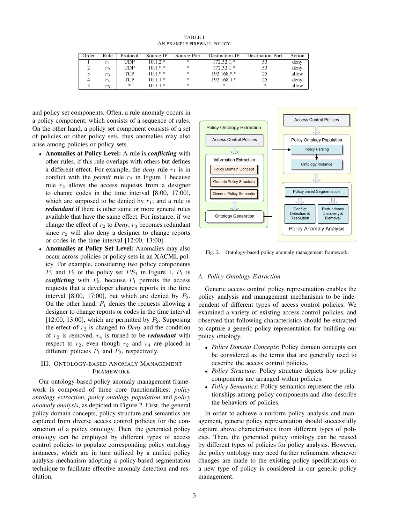TABLE I AN EXAMPLE FIREWALL POLICY.

| Order | Rule           | Protocol | Source IP  | Source Port | Destination IP         | <b>Destination Port</b> | Action |
|-------|----------------|----------|------------|-------------|------------------------|-------------------------|--------|
|       | r <sub>1</sub> | UDP      | $10.1.2.*$ | ж.          | $172.32.1*$            | 53                      | deny   |
|       | $r_2$          | UDP      | $10.1.*.*$ | *           | $172.32.1*$            | 53                      | deny   |
|       | $r_3$          | TCP      | $10.1.*.*$ | *           | $192.168$ <sup>*</sup> | 25                      | allow  |
|       | $r_4$          | TCP      | $10.1.1.*$ | *           | 192.168.1.*            | 25                      | deny   |
|       | $r_5$          | *        | $10.1.1.*$ | ×           | ×                      | *                       | allow  |

and policy set components. Often, a rule anomaly occurs in a policy component, which consists of a sequence of rules. On the other hand, a policy set component consists of a set of policies or other policy sets, thus anomalies may also arise among policies or policy sets.

- *•* Anomalies at Policy Level: A rule is *conflicting* with other rules, if this rule overlaps with others but defines a different effect. For example, the *deny* rule  $r_1$  is in conflict with the *permit* rule  $r_2$  in Figure 1 because rule *r*<sup>2</sup> allows the access requests from a designer to change codes in the time interval [8:00, 17:00], which are supposed to be denied by  $r_1$ ; and a rule is *redundant* if there is other same or more general rules available that have the same effect. For instance, if we change the effect of  $r_2$  to *Deny*,  $r_3$  becomes redundant since  $r_2$  will also deny a designer to change reports or codes in the time interval [12:00, 13:00].
- *•* Anomalies at Policy Set Level: Anomalies may also occur across policies or policy sets in an XACML policy. For example, considering two policy components  $P_1$  and  $P_2$  of the policy set  $PS_1$  in Figure 1,  $P_1$  is *conflicting* with  $P_2$ , because  $P_1$  permits the access requests that a developer changes reports in the time interval [8:00, 17:00], but which are denied by  $P_2$ . On the other hand,  $P_1$  denies the requests allowing a designer to change reports or codes in the time interval [12:00, 13:00], which are permitted by  $P_2$ . Supposing the effect of  $r_2$  is changed to *Deny* and the condition of  $r_2$  is removed,  $r_4$  is turned to be *redundant* with respect to  $r_2$ , even though  $r_2$  and  $r_4$  are placed in different policies  $P_1$  and  $P_2$ , respectively.

# III. ONTOLOGY-BASED ANOMALY MANAGEMENT FRAMEWORK

Our ontology-based policy anomaly management framework is composed of three core functionalities: *policy ontology extraction*, *policy ontology population* and *policy anomaly analysis*, as depicted in Figure 2. First, the general policy domain concepts, policy structure and semantics are captured from diverse access control policies for the construction of a policy ontology. Then, the generated policy ontology can be employed by different types of access control policies to populate corresponding policy ontology instances, which are in turn utilized by a unified policy analysis mechanism adopting a policy-based segmentation technique to facilitate effective anomaly detection and resolution.



Fig. 2. Ontology-based policy anomaly management framework.

# *A. Policy Ontology Extraction*

Generic access control policy representation enables the policy analysis and management mechanisms to be independent of different types of access control policies. We examined a variety of existing access control policies, and observed that following characteristics should be extracted to capture a generic policy representation for building our policy ontology.

- *• Policy Domain Concepts*: Policy domain concepts can be considered as the terms that are generally used to describe the access control policies.
- *• Policy Structure*: Policy structure depicts how policy components are arranged within policies.
- *• Policy Semantics*: Policy semantics represent the relationships among policy components and also describe the behaviors of policies.

In order to achieve a uniform policy analysis and management, generic policy representation should successfully capture above characteristics from different types of policies. Then, the generated policy ontology can be reused by different types of policies for policy analysis. However, the policy ontology may need further refinement whenever changes are made to the existing policy specifications or a new type of policy is considered in our generic policy management.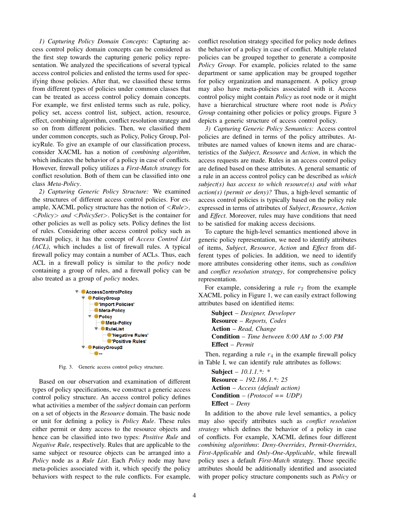*1) Capturing Policy Domain Concepts:* Capturing access control policy domain concepts can be considered as the first step towards the capturing generic policy representation. We analyzed the specifications of several typical access control policies and enlisted the terms used for specifying those policies. After that, we classified these terms from different types of policies under common classes that can be treated as access control policy domain concepts. For example, we first enlisted terms such as rule, policy, policy set, access control list, subject, action, resource, effect, combining algorithm, conflict resolution strategy and so on from different policies. Then, we classified them under common concepts, such as Policy, Policy Group, PolicyRule. To give an example of our classification process, consider XACML has a notion of *combining algorithm*, which indicates the behavior of a policy in case of conflicts. However, firewall policy utilizes a *First-Match strategy* for conflict resolution. Both of them can be classified into one class *Meta-Policy*.

*2) Capturing Generic Policy Structure:* We examined the structures of different access control policies. For example, XACML policy structure has the notion of *<Rule>, <Policy> and <PolicySet>*. PolicySet is the container for other policies as well as policy sets. Policy defines the list of rules. Considering other access control policy such as firewall policy, it has the concept of *Access Control List (ACL)*, which includes a list of firewall rules. A typical firewall policy may contain a number of ACLs. Thus, each ACL in a firewall policy is similar to the *policy* node containing a group of rules, and a firewall policy can be also treated as a group of *policy* nodes.



Fig. 3. Generic access control policy structure.

Based on our observation and examination of different types of policy specifications, we construct a generic access control policy structure. An access control policy defines what activities a member of the *subject* domain can perform on a set of objects in the *Resource* domain. The basic node or unit for defining a policy is *Policy Rule*. These rules either permit or deny access to the resource objects and hence can be classified into two types: *Positive Rule* and *Negative Rule*, respectively. Rules that are applicable to the same subject or resource objects can be arranged into a *Policy* node as a *Rule List*. Each *Policy* node may have meta-policies associated with it, which specify the policy behaviors with respect to the rule conflicts. For example, conflict resolution strategy specified for policy node defines the behavior of a policy in case of conflict. Multiple related policies can be grouped together to generate a composite Policy Group. For example, policies related to the same department or same application may be grouped together for policy organization and management. A policy group may also have meta-policies associated with it. Access control policy might contain *Policy* as root node or it might have a hierarchical structure where root node is *Policy Group* containing other policies or policy groups. Figure 3 depicts a generic structure of access control policy.

*3) Capturing Generic Policy Semantics:* Access control policies are defined in terms of the policy attributes. Attributes are named values of known items and are characteristics of the *Subject*, *Resource* and *Action*, in which the access requests are made. Rules in an access control policy are defined based on these attributes. A general semantic of a rule in an access control policy can be described as *which subject(s) has access to which resource(s) and with what action(s) (permit or deny)?* Thus, a high-level semantic of access control policies is typically based on the policy rule expressed in terms of attributes of *Subject*, *Resource*, *Action* and *Effect*. Moreover, rules may have conditions that need to be satisfied for making access decisions.

To capture the high-level semantics mentioned above in generic policy representation, we need to identify attributes of items, *Subject*, *Resource*, *Action* and *Effect* from different types of policies. In addition, we need to identify more attributes considering other items, such as *condition* and *conflict resolution strategy*, for comprehensive policy representation.

For example, considering a rule  $r_2$  from the example XACML policy in Figure 1, we can easily extract following attributes based on identified items:

Subject – *Designer, Developer* Resource – *Reports, Codes* Action – *Read, Change* Condition – *Time between 8:00 AM to 5:00 PM* Effect – *Permit*

Then, regarding a rule  $r_4$  in the example firewall policy in Table I, we can identify rule attributes as follows:

Subject – *10.1.1.\*: \** Resource – *192.186.1.\*: 25* Action – *Access (default action)* Condition – *(Protocol == UDP)* Effect – *Deny*

In addition to the above rule level semantics, a policy may also specify attributes such as *conflict resolution strategy* which defines the behavior of a policy in case of conflicts. For example, XACML defines four different *combining algorithms*: *Deny-Overrides*, *Permit-Overrides*, *First-Applicable* and *Only-One-Applicable*, while firewall policy uses a default *First-Match* strategy. Those specific attributes should be additionally identified and associated with proper policy structure components such as *Policy* or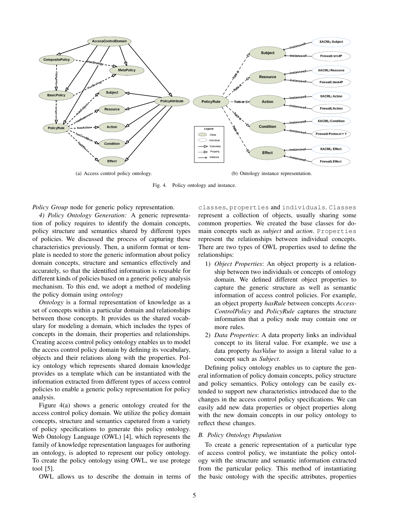

Fig. 4. Policy ontology and instance.

*Policy Group* node for generic policy representation.

*4) Policy Ontology Generation:* A generic representation of policy requires to identify the domain concepts, policy structure and semantics shared by different types of policies. We discussed the process of capturing these characteristics previously. Then, a uniform format or template is needed to store the generic information about policy domain concepts, structure and semantics effectively and accurately, so that the identified information is reusable for different kinds of policies based on a generic policy analysis mechanism. To this end, we adopt a method of modeling the policy domain using *ontology*

*Ontology* is a formal representation of knowledge as a set of concepts within a particular domain and relationships between those concepts. It provides us the shared vocabulary for modeling a domain, which includes the types of concepts in the domain, their properties and relationships. Creating access control policy ontology enables us to model the access control policy domain by defining its vocabulary, objects and their relations along with the properties. Policy ontology which represents shared domain knowledge provides us a template which can be instantiated with the information extracted from different types of access control policies to enable a generic policy representation for policy analysis.

Figure 4(a) shows a generic ontology created for the access control policy domain. We utilize the policy domain concepts, structure and semantics capetured from a variety of policy specifications to generate this policy ontology. Web Ontology Language (OWL) [4], which represents the family of knowledge representation languages for authoring an ontology, is adopted to represent our policy ontology. To create the policy ontology using OWL, we use protege tool [5].

OWL allows us to describe the domain in terms of

classes, properties and individuals. Classes represent a collection of objects, usually sharing some common properties. We created the base classes for domain concepts such as *subject* and *action*. Properties represent the relationships between individual concepts. There are two types of OWL properties used to define the relationships:

- 1) *Object Properties*: An object property is a relationship between two individuals or concepts of ontology domain. We defined different object properties to capture the generic structure as well as semantic information of access control policies. For example, an object property *hasRule* between concepts *Access-ControlPolicy* and *PolicyRule* captures the structure information that a policy node may contain one or more rules.
- 2) *Data Properties*: A data property links an individual concept to its literal value. For example, we use a data property *hasValue* to assign a literal value to a concept such as *Subject*.

Defining policy ontology enables us to capture the general information of policy domain concepts, policy structure and policy semantics. Policy ontology can be easily extended to support new characteristics introduced due to the changes in the access control policy specifications. We can easily add new data properties or object properties along with the new domain concepts in our policy ontology to reflect these changes.

# *B. Policy Ontology Population*

To create a generic representation of a particular type of access control policy, we instantiate the policy ontology with the structure and semantic information extracted from the particular policy. This method of instantiating the basic ontology with the specific attributes, properties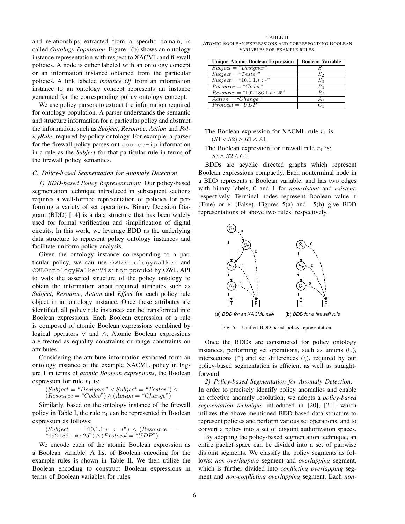and relationships extracted from a specific domain, is called *Ontology Population*. Figure 4(b) shows an ontology instance representation with respect to XACML and firewall policies. A node is either labeled with an ontology concept or an information instance obtained from the particular policies. A link labeled *instance Of* from an information instance to an ontology concept represents an instance generated for the corresponding policy ontology concept.

We use policy parsers to extract the information required for ontology population. A parser understands the semantic and structure information for a particular policy and abstract the information, such as *Subject*, *Resource*, *Action* and *PolicyRule*, required by policy ontology. For example, a parser for the firewall policy parses out source-ip information in a rule as the *Subject* for that particular rule in terms of the firewall policy semantics.

# *C. Policy-based Segmentation for Anomaly Detection*

*1) BDD-based Policy Representation:* Our policy-based segmentation technique introduced in subsequent sections requires a well-formed representation of policies for performing a variety of set operations. Binary Decision Diagram (BDD) [14] is a data structure that has been widely used for formal verification and simplification of digital circuits. In this work, we leverage BDD as the underlying data structure to represent policy ontology instances and facilitate uniform policy analysis.

Given the ontology instance corresponding to a particular policy, we can use OWLOntologyWalker and OWLOntologyWalkerVisitor provided by OWL API to walk the asserted structure of the policy ontology to obtain the information about required attributes such as *Subject*, *Resource*, *Action* and *Effect* for each policy rule object in an ontology instance. Once these attributes are identified, all policy rule instances can be transformed into Boolean expressions. Each Boolean expression of a rule is composed of atomic Boolean expressions combined by logical operators *∨* and *∧*. Atomic Boolean expressions are treated as equality constraints or range constraints on attributes.

Considering the attribute information extracted form an ontology instance of the example XACML policy in Figure 1 in terms of *atomic Boolean expressions*, the Boolean expression for rule  $r_1$  is:

$$
(Subject = "Designer" \lor Subject = "Tester") \land (Resource = "Codes") \land (Action = "Change")
$$

Similarly, based on the ontology instance of the firewall policy in Table I, the rule  $r_4$  can be represented in Boolean expression as follows:

$$
(Subject = "10.1.1.* : *") \land (Resource = "192.186.1.* : 25") \land (Protocol = "UDP")
$$

We encode each of the atomic Boolean expression as a Boolean variable. A list of Boolean encoding for the example rules is shown in Table II. We then utilize the Boolean encoding to construct Boolean expressions in terms of Boolean variables for rules.

TABLE II ATOMIC BOOLEAN EXPRESSIONS AND CORRESPONDING BOOLEAN VARIABLES FOR EXAMPLE RULES.

| <b>Unique Atomic Boolean Expression</b> | <b>Boolean Variable</b> |
|-----------------------------------------|-------------------------|
| $Subject = "Designer"$                  | $S_1$                   |
| $Subject = "Tester"$                    | $S_2$                   |
| $Subject = "10.1.1.*.*"$                | $S_3$                   |
| $Resource = "Codes"$                    | $R_1$                   |
| $Resource = "192.186.1.*:25"$           | R2                      |
| $Action = "Change"$                     | A <sub>1</sub>          |
| $Protocol = "UDP"$                      | 65                      |

# The Boolean expression for XACML rule  $r_1$  is: (*S*1 *∨ S*2) *∧ R*1 *∧ A*1

The Boolean expression for firewall rule  $r_4$  is: *S*3 *∧ R*2 *∧ C*1

BDDs are acyclic directed graphs which represent Boolean expressions compactly. Each nonterminal node in a BDD represents a Boolean variable, and has two edges with binary labels, 0 and 1 for *nonexistent* and *existent*, respectively. Terminal nodes represent Boolean value T (True) or  $F$  (False). Figures  $5(a)$  and  $5(b)$  give BDD representations of above two rules, respectively.



Fig. 5. Unified BDD-based policy representation.

Once the BDDs are constructed for policy ontology instances, performing set operations, such as unions (*∪*), intersections (*∩*) and set differences (*\*), required by our policy-based segmentation is efficient as well as straightforward.

*2) Policy-based Segmentation for Anomaly Detection:* In order to precisely identify policy anomalies and enable an effective anomaly resolution, we adopts a *policy-based segmentation technique* introduced in [20], [21], which utilizes the above-mentioned BDD-based data structure to represent policies and perform various set operations, and to convert a policy into a set of disjoint authorization spaces.

By adopting the policy-based segmentation technique, an entire packet space can be divided into a set of pairwise disjoint segments. We classify the policy segments as follows: *non-overlapping* segment and *overlapping* segment, which is further divided into *conflicting overlapping* segment and *non-conflicting overlapping* segment. Each *non-*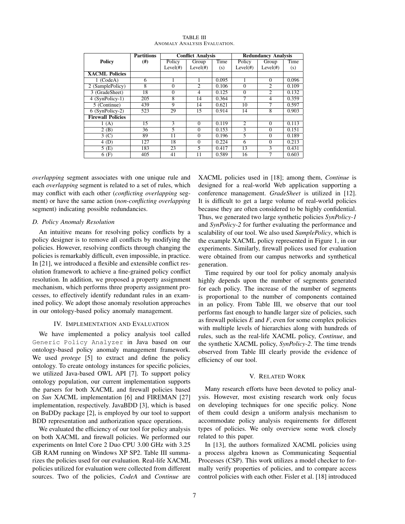|                          | <b>Partitions</b> | <b>Conflict Analysis</b> |                   |       | <b>Redundancy Analysis</b> |                   |       |
|--------------------------|-------------------|--------------------------|-------------------|-------|----------------------------|-------------------|-------|
| <b>Policy</b>            | $^{(#)}$          | Policy                   | Group             | Time  | Policy                     | Group             | Time  |
|                          |                   | Level( <i>#</i> )        | Level( <i>#</i> ) | (s)   | Level( <i>#</i> )          | Level( <i>#</i> ) | (s)   |
| <b>XACML Policies</b>    |                   |                          |                   |       |                            |                   |       |
| $1$ (CodeA)              | 6                 |                          |                   | 0.095 |                            | $\Omega$          | 0.096 |
| 2 (SamplePolicy)         | 8                 | $\Omega$                 | 2                 | 0.106 | $\theta$                   | $\overline{2}$    | 0.109 |
| 3 (GradeSheet)           | 18                | $\theta$                 | 4                 | 0.125 | $\Omega$                   | $\overline{2}$    | 0.132 |
| 4 (SynPolicy-1)          | 205               | 8                        | 14                | 0.364 | 7                          | 4                 | 0.359 |
| 5 (Continue)             | 439               | $\mathbf Q$              | 14                | 0.621 | 10                         | 7                 | 0.597 |
| 6 (SynPolicy-2)          | 523               | 29                       | 15                | 0.914 | 14                         | 8                 | 0.903 |
| <b>Firewall Policies</b> |                   |                          |                   |       |                            |                   |       |
| 1(A)                     | 15                | 3                        | $\Omega$          | 0.119 | $\overline{c}$             | $\Omega$          | 0.113 |
| 2(B)                     | 36                | $\overline{\phantom{0}}$ | $\Omega$          | 0.153 | 3                          | $\Omega$          | 0.151 |
| 3 <sup>(C)</sup>         | 89                | 11                       | $\Omega$          | 0.196 | $\overline{5}$             | $\Omega$          | 0.189 |
| 4(D)                     | 127               | 18                       | $\Omega$          | 0.224 | 6                          | $\Omega$          | 0.213 |
| 5(E)                     | 183               | 23                       | 5                 | 0.417 | 13                         | 3                 | 0.431 |
| 6(F)                     | 405               | 41                       | 11                | 0.589 | 16                         | 7                 | 0.603 |

#### TABLE III ANOMALY ANALYSIS EVALUATION.

*overlapping* segment associates with one unique rule and each *overlapping* segment is related to a set of rules, which may conflict with each other (*conflicting overlapping* segment) or have the same action (*non-conflicting overlapping* segment) indicating possible redundancies.

# *D. Policy Anomaly Resolution*

An intuitive means for resolving policy conflicts by a policy designer is to remove all conflicts by modifying the policies. However, resolving conflicts through changing the policies is remarkably difficult, even impossible, in practice. In [21], we introduced a flexible and extensible conflict resolution framework to achieve a fine-grained policy conflict resolution. In addition, we proposed a property assignment mechanism, which performs three property assignment processes, to effectively identify redundant rules in an examined policy. We adopt those anomaly resolution approaches in our ontology-based policy anomaly management.

# IV. IMPLEMENTATION AND EVALUATION

We have implemented a policy analysis tool called Generic Policy Analyzer in Java based on our ontology-based policy anomaly management framework. We used *protege* [5] to extract and define the policy ontology. To create ontology instances for specific policies, we utilized Java-based OWL API [7]. To support policy ontology population, our current implementation supports the parsers for both XACML and firewall policies based on *Sun* XACML implementation [6] and FIREMAN [27] implementation, respectively. JavaBDD [3], which is based on BuDDy package [2], is employed by our tool to support BDD representation and authorization space operations.

We evaluated the efficiency of our tool for policy analysis on both XACML and firewall policies. We performed our experiments on Intel Core 2 Duo CPU 3.00 GHz with 3.25 GB RAM running on Windows XP SP2. Table III summarizes the policies used for our evaluation. Real-life XACML policies utilized for evaluation were collected from different sources. Two of the policies, *CodeA* and *Continue* are XACML policies used in [18]; among them, *Continue* is designed for a real-world Web application supporting a conference management. *GradeSheet* is utilized in [12]. It is difficult to get a large volume of real-world policies because they are often considered to be highly confidential. Thus, we generated two large synthetic policies *SynPolicy-1* and *SynPolicy-2* for further evaluating the performance and scalability of our tool. We also used *SamplePolicy*, which is the example XACML policy represented in Figure 1, in our experiments. Similarly, firewall polices used for evaluation were obtained from our campus networks and synthetical generation.

Time required by our tool for policy anomaly analysis highly depends upon the number of segments generated for each policy. The increase of the number of segments is proportional to the number of components contained in an policy. From Table III, we observe that our tool performs fast enough to handle larger size of policies, such as firewall policies *E* and *F*, even for some complex policies with multiple levels of hierarchies along with hundreds of rules, such as the real-life XACML policy, *Continue*, and the synthetic XACML policy, *SynPolicy-2*. The time trends observed from Table III clearly provide the evidence of efficiency of our tool.

## V. RELATED WORK

Many research efforts have been devoted to policy analysis. However, most existing research work only focus on developing techniques for one specific policy. None of them could design a uniform analysis mechanism to accommodate policy analysis requirements for different types of policies. We only overview some work closely related to this paper.

In [13], the authors formalized XACML policies using a process algebra known as Communicating Sequential Processes (CSP). This work utilizes a model checker to formally verify properties of policies, and to compare access control policies with each other. Fisler et al. [18] introduced